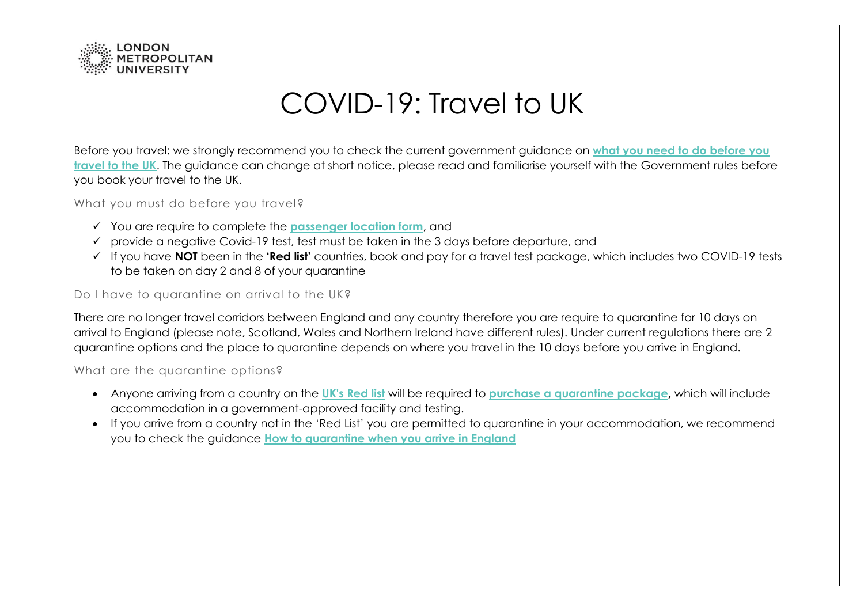

## COVID-19: Travel to UK

Before you travel: we strongly recommend you to check the current government guidance on **[what you need to do before you](https://www.gov.uk/guidance/how-to-quarantine-when-you-arrive-in-england#what-you-must-do-before-you-travel)  travel [to the UK](https://www.gov.uk/guidance/how-to-quarantine-when-you-arrive-in-england#what-you-must-do-before-you-travel)**. The guidance can change at short notice, please read and familiarise yourself with the Government rules before you book your travel to the UK.

What you must do before you travel?

- You are require to complete the **[passenger location form](https://www.gov.uk/provide-journey-contact-details-before-travel-uk)**, and
- $\checkmark$  provide a negative Covid-19 test, test must be taken in the 3 days before departure, and
- If you have **NOT** been in the **'Red list'** countries, book and pay for a travel test package, which includes two COVID-19 tests to be taken on day 2 and 8 of your quarantine

## Do I have to quarantine on arrival to the UK?

There are no longer travel corridors between England and any country therefore you are require to quarantine for 10 days on arrival to England (please note, Scotland, Wales and Northern Ireland have different rules). Under current regulations there are 2 quarantine options and the place to quarantine depends on where you travel in the 10 days before you arrive in England.

What are the quarantine options?

- Anyone arriving from a country on the **[UK's Red list](https://www.gov.uk/guidance/transport-measures-to-protect-the-uk-from-variant-strains-of-covid-19)** will be required to **[purchase a quarantine package,](https://www.gov.uk/guidance/booking-and-staying-in-a-quarantine-hotel-when-you-arrive-in-england)** which will include accommodation in a government-approved facility and testing.
- If you arrive from a country not in the 'Red List' you are permitted to quarantine in your accommodation, we recommend you to check the guidance **[How to quarantine when you arrive in England](https://www.gov.uk/guidance/how-to-quarantine-when-you-arrive-in-england)**